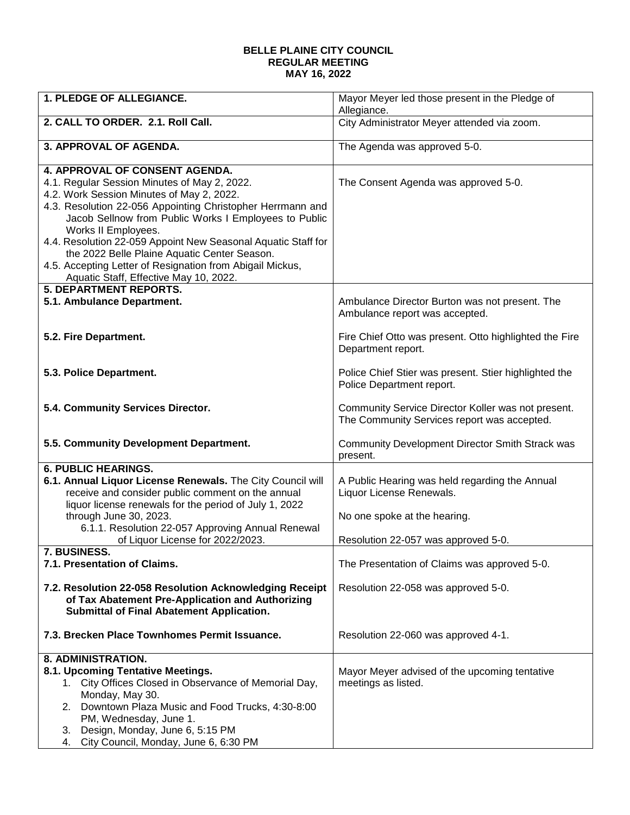## **BELLE PLAINE CITY COUNCIL REGULAR MEETING MAY 16, 2022**

| <b>1. PLEDGE OF ALLEGIANCE.</b>                                                                                                                                                                                                                                                                                                                                                                                                                                                                   | Mayor Meyer led those present in the Pledge of<br>Allegiance.                                              |
|---------------------------------------------------------------------------------------------------------------------------------------------------------------------------------------------------------------------------------------------------------------------------------------------------------------------------------------------------------------------------------------------------------------------------------------------------------------------------------------------------|------------------------------------------------------------------------------------------------------------|
| 2. CALL TO ORDER. 2.1. Roll Call.                                                                                                                                                                                                                                                                                                                                                                                                                                                                 | City Administrator Meyer attended via zoom.                                                                |
| 3. APPROVAL OF AGENDA.                                                                                                                                                                                                                                                                                                                                                                                                                                                                            | The Agenda was approved 5-0.                                                                               |
| 4. APPROVAL OF CONSENT AGENDA.<br>4.1. Regular Session Minutes of May 2, 2022.<br>4.2. Work Session Minutes of May 2, 2022.<br>4.3. Resolution 22-056 Appointing Christopher Herrmann and<br>Jacob Sellnow from Public Works I Employees to Public<br>Works II Employees.<br>4.4. Resolution 22-059 Appoint New Seasonal Aquatic Staff for<br>the 2022 Belle Plaine Aquatic Center Season.<br>4.5. Accepting Letter of Resignation from Abigail Mickus,<br>Aquatic Staff, Effective May 10, 2022. | The Consent Agenda was approved 5-0.                                                                       |
| <b>5. DEPARTMENT REPORTS.</b><br>5.1. Ambulance Department.                                                                                                                                                                                                                                                                                                                                                                                                                                       | Ambulance Director Burton was not present. The<br>Ambulance report was accepted.                           |
| 5.2. Fire Department.                                                                                                                                                                                                                                                                                                                                                                                                                                                                             | Fire Chief Otto was present. Otto highlighted the Fire<br>Department report.                               |
| 5.3. Police Department.                                                                                                                                                                                                                                                                                                                                                                                                                                                                           | Police Chief Stier was present. Stier highlighted the<br>Police Department report.                         |
| 5.4. Community Services Director.                                                                                                                                                                                                                                                                                                                                                                                                                                                                 | Community Service Director Koller was not present.<br>The Community Services report was accepted.          |
| 5.5. Community Development Department.                                                                                                                                                                                                                                                                                                                                                                                                                                                            | Community Development Director Smith Strack was<br>present.                                                |
| <b>6. PUBLIC HEARINGS.</b>                                                                                                                                                                                                                                                                                                                                                                                                                                                                        |                                                                                                            |
| 6.1. Annual Liquor License Renewals. The City Council will<br>receive and consider public comment on the annual<br>liquor license renewals for the period of July 1, 2022<br>through June 30, 2023.                                                                                                                                                                                                                                                                                               | A Public Hearing was held regarding the Annual<br>Liquor License Renewals.<br>No one spoke at the hearing. |
| 6.1.1. Resolution 22-057 Approving Annual Renewal<br>of Liquor License for 2022/2023.                                                                                                                                                                                                                                                                                                                                                                                                             | Resolution 22-057 was approved 5-0.                                                                        |
| 7. BUSINESS.<br>7.1. Presentation of Claims.                                                                                                                                                                                                                                                                                                                                                                                                                                                      | The Presentation of Claims was approved 5-0.                                                               |
| 7.2. Resolution 22-058 Resolution Acknowledging Receipt<br>of Tax Abatement Pre-Application and Authorizing<br><b>Submittal of Final Abatement Application.</b>                                                                                                                                                                                                                                                                                                                                   | Resolution 22-058 was approved 5-0.                                                                        |
| 7.3. Brecken Place Townhomes Permit Issuance.                                                                                                                                                                                                                                                                                                                                                                                                                                                     | Resolution 22-060 was approved 4-1.                                                                        |
| 8. ADMINISTRATION.<br>8.1. Upcoming Tentative Meetings.<br>City Offices Closed in Observance of Memorial Day,<br>1.<br>Monday, May 30.<br>Downtown Plaza Music and Food Trucks, 4:30-8:00<br>2.<br>PM, Wednesday, June 1.<br>Design, Monday, June 6, 5:15 PM<br>3.<br>4. City Council, Monday, June 6, 6:30 PM                                                                                                                                                                                    | Mayor Meyer advised of the upcoming tentative<br>meetings as listed.                                       |